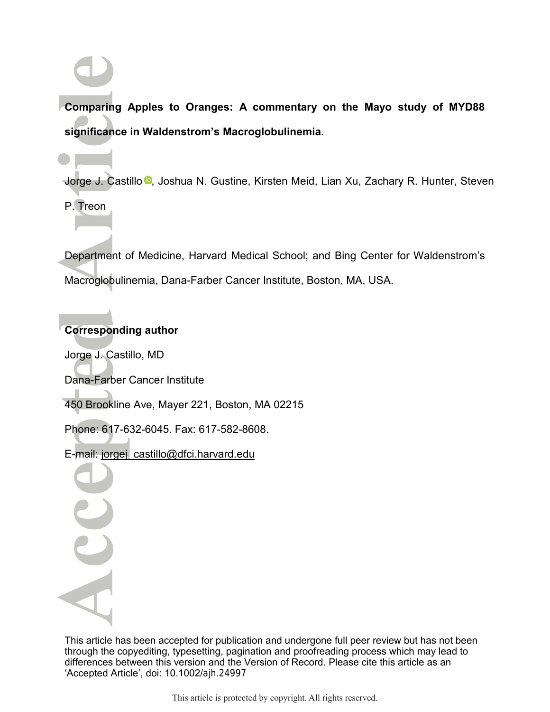**Comparing Apples to Oranges: A commentary on the Mayo study of MYD88 significance in Waldenstrom's Macroglobulinemia.** 

Jorge J. Castillo <sup>n</sup>[,](http://orcid.org/0000-0001-9490-7532) Joshua N. Gustine, Kirsten Meid, Lian Xu, Zachary R. Hunter, Steven P. Treon

Department of Medicine, Harvard Medical School; and Bing Center for Waldenstrom's Macroglobulinemia, Dana-Farber Cancer Institute, Boston, MA, USA.

## **Corresponding author**

Jorge J. Castillo, MD

Dana-Farber Cancer Institute

450 Brookline Ave, Mayer 221, Boston, MA 02215

Phone: 617-632-6045. Fax: 617-582-8608.

E-mail: jorgej\_castillo@dfci.harvard.edu

This article has been accepted for publication and undergone full peer review but has not been through the copyediting, typesetting, pagination and proofreading process which may lead to differences between this version and the Version of Record. Please cite this article as an 'Accepted Article', doi: 10.1002/ajh.24997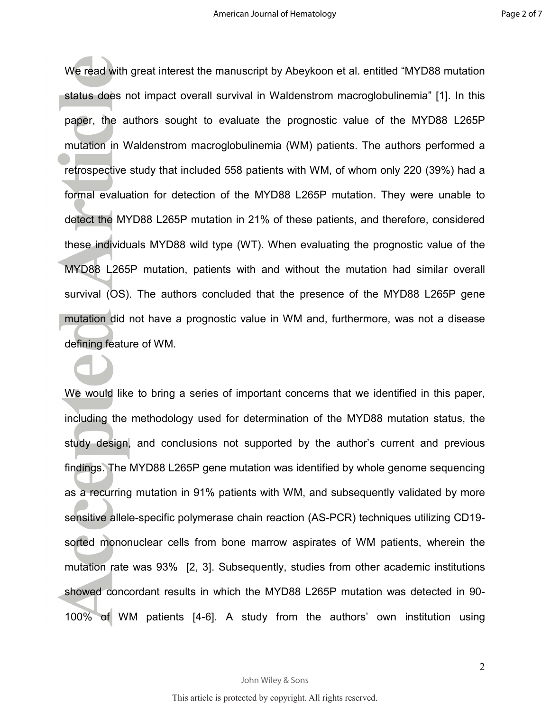We read with great interest the manuscript by Abeykoon et al. entitled "MYD88 mutation status does not impact overall survival in Waldenstrom macroglobulinemia" [1]. In this paper, the authors sought to evaluate the prognostic value of the MYD88 L265P mutation in Waldenstrom macroglobulinemia (WM) patients. The authors performed a retrospective study that included 558 patients with WM, of whom only 220 (39%) had a formal evaluation for detection of the MYD88 L265P mutation. They were unable to detect the MYD88 L265P mutation in 21% of these patients, and therefore, considered these individuals MYD88 wild type (WT). When evaluating the prognostic value of the MYD88 L265P mutation, patients with and without the mutation had similar overall survival (OS). The authors concluded that the presence of the MYD88 L265P gene mutation did not have a prognostic value in WM and, furthermore, was not a disease defining feature of WM.

We would like to bring a series of important concerns that we identified in this paper, including the methodology used for determination of the MYD88 mutation status, the study design, and conclusions not supported by the author's current and previous findings. The MYD88 L265P gene mutation was identified by whole genome sequencing as a recurring mutation in 91% patients with WM, and subsequently validated by more sensitive allele-specific polymerase chain reaction (AS-PCR) techniques utilizing CD19 sorted mononuclear cells from bone marrow aspirates of WM patients, wherein the mutation rate was 93% [2, 3]. Subsequently, studies from other academic institutions showed concordant results in which the MYD88 L265P mutation was detected in 90- 100% of WM patients [4-6]. A study from the authors' own institution using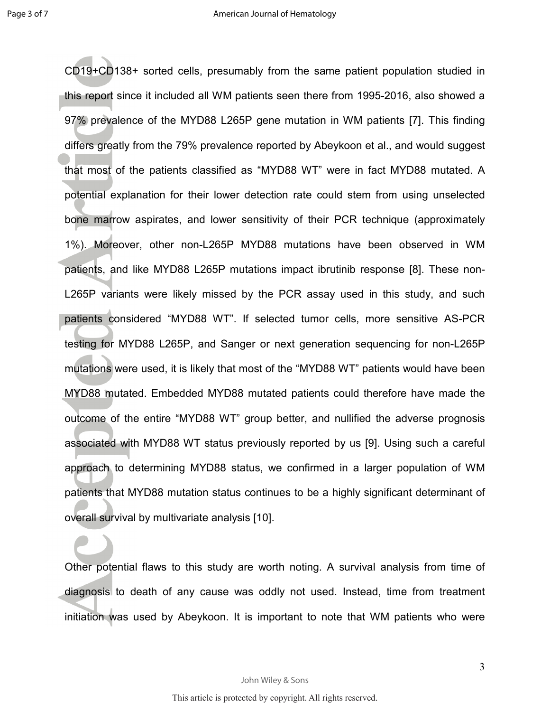CD19+CD138+ sorted cells, presumably from the same patient population studied in this report since it included all WM patients seen there from 1995-2016, also showed a 97% prevalence of the MYD88 L265P gene mutation in WM patients [7]. This finding differs greatly from the 79% prevalence reported by Abeykoon et al., and would suggest that most of the patients classified as "MYD88 WT" were in fact MYD88 mutated. A potential explanation for their lower detection rate could stem from using unselected bone marrow aspirates, and lower sensitivity of their PCR technique (approximately 1%). Moreover, other non-L265P MYD88 mutations have been observed in WM patients, and like MYD88 L265P mutations impact ibrutinib response [8]. These non-L265P variants were likely missed by the PCR assay used in this study, and such patients considered "MYD88 WT". If selected tumor cells, more sensitive AS-PCR testing for MYD88 L265P, and Sanger or next generation sequencing for non-L265P mutations were used, it is likely that most of the "MYD88 WT" patients would have been MYD88 mutated. Embedded MYD88 mutated patients could therefore have made the outcome of the entire "MYD88 WT" group better, and nullified the adverse prognosis associated with MYD88 WT status previously reported by us [9]. Using such a careful approach to determining MYD88 status, we confirmed in a larger population of WM patients that MYD88 mutation status continues to be a highly significant determinant of overall survival by multivariate analysis [10].

Other potential flaws to this study are worth noting. A survival analysis from time of diagnosis to death of any cause was oddly not used. Instead, time from treatment initiation was used by Abeykoon. It is important to note that WM patients who were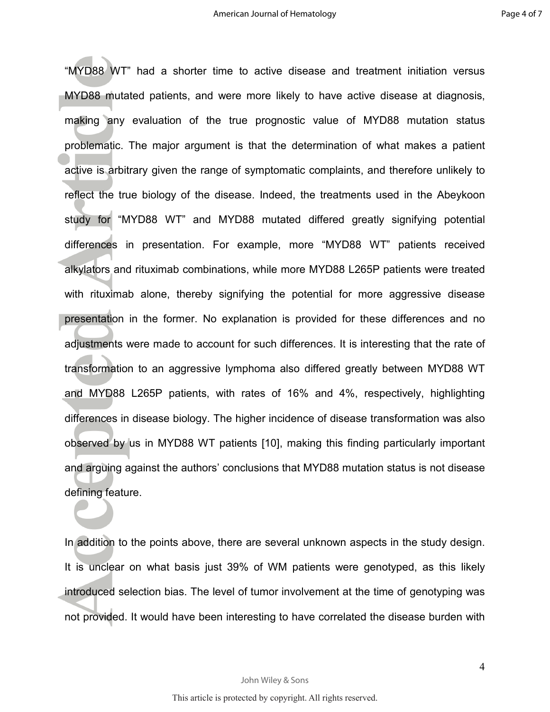"MYD88 WT" had a shorter time to active disease and treatment initiation versus MYD88 mutated patients, and were more likely to have active disease at diagnosis, making any evaluation of the true prognostic value of MYD88 mutation status problematic. The major argument is that the determination of what makes a patient active is arbitrary given the range of symptomatic complaints, and therefore unlikely to reflect the true biology of the disease. Indeed, the treatments used in the Abeykoon study for "MYD88 WT" and MYD88 mutated differed greatly signifying potential differences in presentation. For example, more "MYD88 WT" patients received alkylators and rituximab combinations, while more MYD88 L265P patients were treated with rituximab alone, thereby signifying the potential for more aggressive disease presentation in the former. No explanation is provided for these differences and no adjustments were made to account for such differences. It is interesting that the rate of transformation to an aggressive lymphoma also differed greatly between MYD88 WT and MYD88 L265P patients, with rates of 16% and 4%, respectively, highlighting differences in disease biology. The higher incidence of disease transformation was also observed by us in MYD88 WT patients [10], making this finding particularly important and arguing against the authors' conclusions that MYD88 mutation status is not disease defining feature.

In addition to the points above, there are several unknown aspects in the study design. It is unclear on what basis just 39% of WM patients were genotyped, as this likely introduced selection bias. The level of tumor involvement at the time of genotyping was not provided. It would have been interesting to have correlated the disease burden with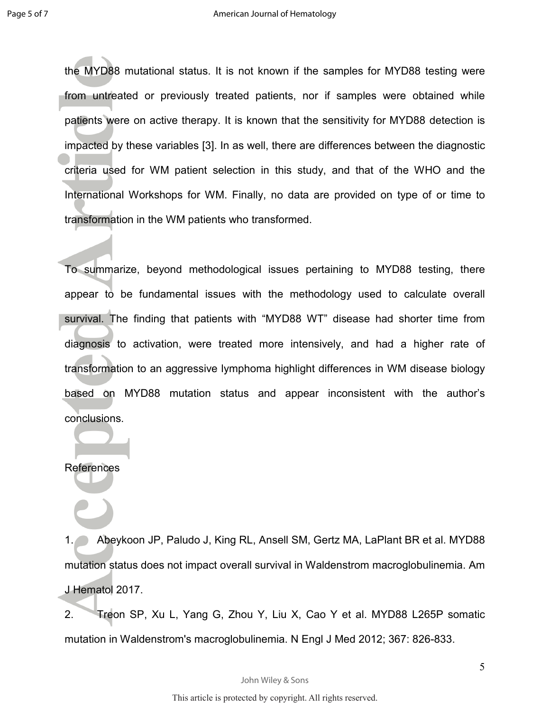the MYD88 mutational status. It is not known if the samples for MYD88 testing were from untreated or previously treated patients, nor if samples were obtained while patients were on active therapy. It is known that the sensitivity for MYD88 detection is impacted by these variables [3]. In as well, there are differences between the diagnostic criteria used for WM patient selection in this study, and that of the WHO and the International Workshops for WM. Finally, no data are provided on type of or time to transformation in the WM patients who transformed.

To summarize, beyond methodological issues pertaining to MYD88 testing, there appear to be fundamental issues with the methodology used to calculate overall survival. The finding that patients with "MYD88 WT" disease had shorter time from diagnosis to activation, were treated more intensively, and had a higher rate of transformation to an aggressive lymphoma highlight differences in WM disease biology based on MYD88 mutation status and appear inconsistent with the author's conclusions.

## **References**

1. Abeykoon JP, Paludo J, King RL, Ansell SM, Gertz MA, LaPlant BR et al. MYD88 mutation status does not impact overall survival in Waldenstrom macroglobulinemia. Am J Hematol 2017.

2. Treon SP, Xu L, Yang G, Zhou Y, Liu X, Cao Y et al. MYD88 L265P somatic mutation in Waldenstrom's macroglobulinemia. N Engl J Med 2012; 367: 826-833.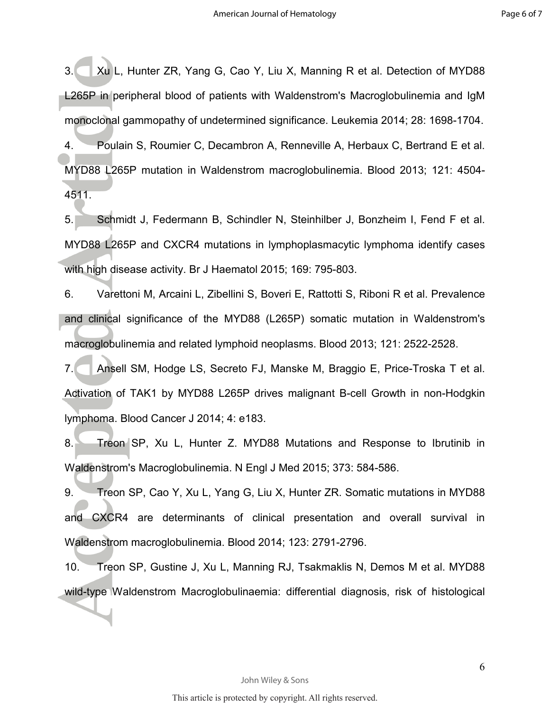3. Xu L, Hunter ZR, Yang G, Cao Y, Liu X, Manning R et al. Detection of MYD88 L265P in peripheral blood of patients with Waldenstrom's Macroglobulinemia and IgM monoclonal gammopathy of undetermined significance. Leukemia 2014; 28: 1698-1704. 4. Poulain S, Roumier C, Decambron A, Renneville A, Herbaux C, Bertrand E et al. MYD88 L265P mutation in Waldenstrom macroglobulinemia. Blood 2013; 121: 4504-

4511.

5. Schmidt J, Federmann B, Schindler N, Steinhilber J, Bonzheim I, Fend F et al. MYD88 L265P and CXCR4 mutations in lymphoplasmacytic lymphoma identify cases with high disease activity. Br J Haematol 2015; 169: 795-803.

6. Varettoni M, Arcaini L, Zibellini S, Boveri E, Rattotti S, Riboni R et al. Prevalence and clinical significance of the MYD88 (L265P) somatic mutation in Waldenstrom's macroglobulinemia and related lymphoid neoplasms. Blood 2013; 121: 2522-2528.

7. Ansell SM, Hodge LS, Secreto FJ, Manske M, Braggio E, Price-Troska T et al. Activation of TAK1 by MYD88 L265P drives malignant B-cell Growth in non-Hodgkin lymphoma. Blood Cancer J 2014; 4: e183.

8. Treon SP, Xu L, Hunter Z. MYD88 Mutations and Response to Ibrutinib in Waldenstrom's Macroglobulinemia. N Engl J Med 2015; 373: 584-586.

9. Treon SP, Cao Y, Xu L, Yang G, Liu X, Hunter ZR. Somatic mutations in MYD88 and CXCR4 are determinants of clinical presentation and overall survival in Waldenstrom macroglobulinemia. Blood 2014; 123: 2791-2796.

10. Treon SP, Gustine J, Xu L, Manning RJ, Tsakmaklis N, Demos M et al. MYD88 wild-type Waldenstrom Macroglobulinaemia: differential diagnosis, risk of histological